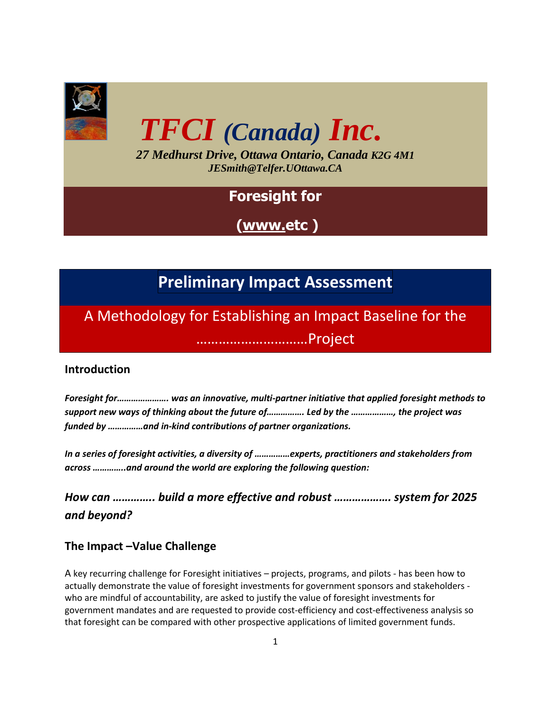

# *TFCI (Canada) Inc.*

*27 Medhurst Drive, Ottawa Ontario, Canada K2G 4M1 JESmith@Telfer.UOttawa.CA*

### **Foresight for**

**[\(www.e](http://www.forecan-precan.ca/)tc )** 

## **Preliminary Impact Assessment**

A Methodology for Establishing an Impact Baseline for the …………………………Project

#### **Introduction**

*Foresight for…………………. was an innovative, multi-partner initiative that applied foresight methods to support new ways of thinking about the future of……………. Led by the ………………, the project was funded by ……………and in-kind contributions of partner organizations.*

*In a series of foresight activities, a diversity of ……………experts, practitioners and stakeholders from across …………..and around the world are exploring the following question:* 

*How can ………….. build a more effective and robust ………………. system for 2025 and beyond?*

#### **The Impact –Value Challenge**

A key recurring challenge for Foresight initiatives – projects, programs, and pilots - has been how to actually demonstrate the value of foresight investments for government sponsors and stakeholders who are mindful of accountability, are asked to justify the value of foresight investments for government mandates and are requested to provide cost-efficiency and cost-effectiveness analysis so that foresight can be compared with other prospective applications of limited government funds.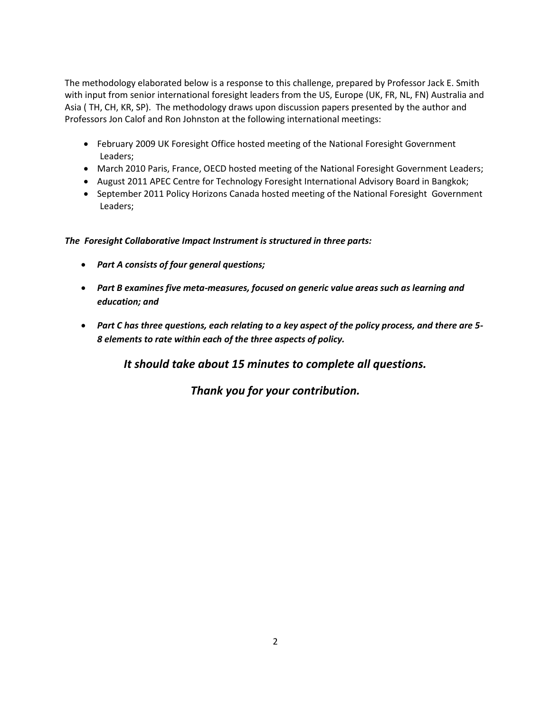The methodology elaborated below is a response to this challenge, prepared by Professor Jack E. Smith with input from senior international foresight leaders from the US, Europe (UK, FR, NL, FN) Australia and Asia ( TH, CH, KR, SP). The methodology draws upon discussion papers presented by the author and Professors Jon Calof and Ron Johnston at the following international meetings:

- February 2009 UK Foresight Office hosted meeting of the National Foresight Government Leaders;
- March 2010 Paris, France, OECD hosted meeting of the National Foresight Government Leaders;
- August 2011 APEC Centre for Technology Foresight International Advisory Board in Bangkok;
- September 2011 Policy Horizons Canada hosted meeting of the National Foresight Government Leaders;

*The Foresight Collaborative Impact Instrument is structured in three parts:* 

- *Part A consists of four general questions;*
- *Part B examines five meta-measures, focused on generic value areas such as learning and education; and*
- *Part C has three questions, each relating to a key aspect of the policy process, and there are 5- 8 elements to rate within each of the three aspects of policy.*

*It should take about 15 minutes to complete all questions.*

*Thank you for your contribution.*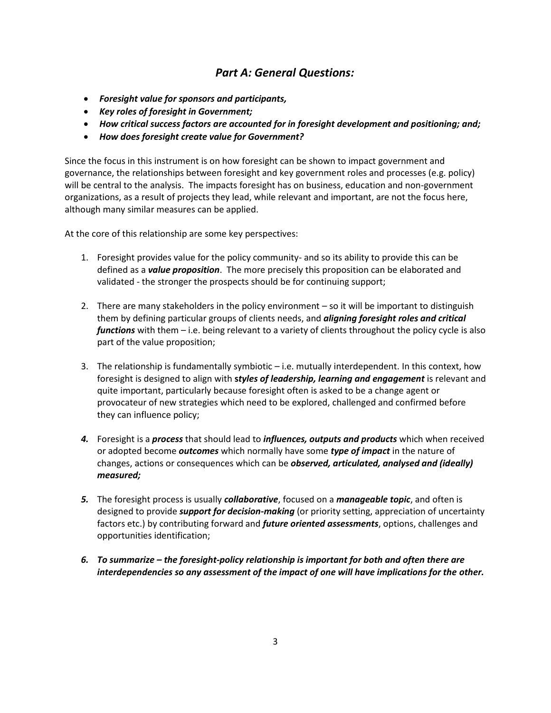#### *Part A: General Questions:*

- *Foresight value for sponsors and participants,*
- *Key roles of foresight in Government;*
- *How critical success factors are accounted for in foresight development and positioning; and;*
- *How does foresight create value for Government?*

Since the focus in this instrument is on how foresight can be shown to impact government and governance, the relationships between foresight and key government roles and processes (e.g. policy) will be central to the analysis. The impacts foresight has on business, education and non-government organizations, as a result of projects they lead, while relevant and important, are not the focus here, although many similar measures can be applied.

At the core of this relationship are some key perspectives:

- 1. Foresight provides value for the policy community- and so its ability to provide this can be defined as a *value proposition*. The more precisely this proposition can be elaborated and validated - the stronger the prospects should be for continuing support;
- 2. There are many stakeholders in the policy environment so it will be important to distinguish them by defining particular groups of clients needs, and *aligning foresight roles and critical functions* with them – i.e. being relevant to a variety of clients throughout the policy cycle is also part of the value proposition;
- 3. The relationship is fundamentally symbiotic i.e. mutually interdependent. In this context, how foresight is designed to align with **s***tyles of leadership, learning and engagement* is relevant and quite important, particularly because foresight often is asked to be a change agent or provocateur of new strategies which need to be explored, challenged and confirmed before they can influence policy;
- *4.* Foresight is a *process* that should lead to *influences, outputs and products* which when received or adopted become *outcomes* which normally have some *type of impact* in the nature of changes, actions or consequences which can be *observed, articulated, analysed and (ideally) measured;*
- *5.* The foresight process is usually *collaborative*, focused on a *manageable topic*, and often is designed to provide *support for decision-making* (or priority setting, appreciation of uncertainty factors etc.) by contributing forward and *future oriented assessments*, options, challenges and opportunities identification;
- *6. To summarize – the foresight-policy relationship is important for both and often there are interdependencies so any assessment of the impact of one will have implications for the other.*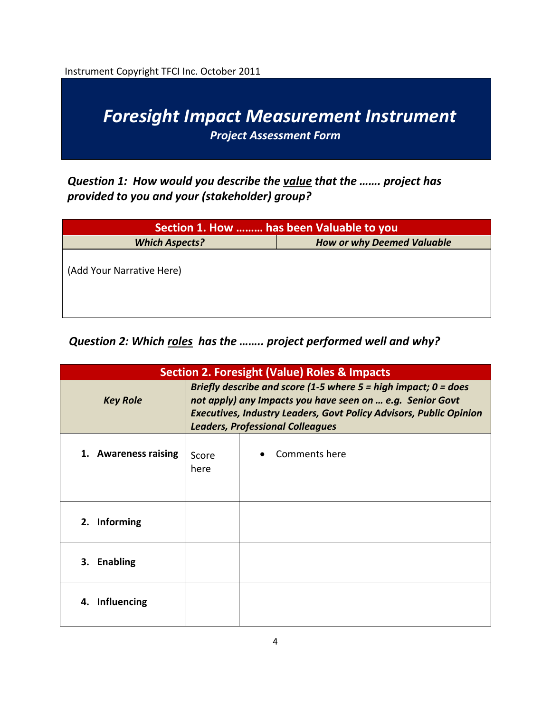Instrument Copyright TFCI Inc. October 2011



*Question 1: How would you describe the value that the ……. project has provided to you and your (stakeholder) group?*

| Section 1. How  has been Valuable to you                   |  |  |
|------------------------------------------------------------|--|--|
| <b>Which Aspects?</b><br><b>How or why Deemed Valuable</b> |  |  |
| (Add Your Narrative Here)                                  |  |  |

#### *Question 2: Which roles has the …….. project performed well and why?*

| <b>Section 2. Foresight (Value) Roles &amp; Impacts</b> |                                                                                                                                                                                                                                                        |               |  |
|---------------------------------------------------------|--------------------------------------------------------------------------------------------------------------------------------------------------------------------------------------------------------------------------------------------------------|---------------|--|
| <b>Key Role</b>                                         | Briefly describe and score (1-5 where $5 =$ high impact; 0 = does<br>not apply) any Impacts you have seen on  e.g. Senior Govt<br><b>Executives, Industry Leaders, Govt Policy Advisors, Public Opinion</b><br><b>Leaders, Professional Colleagues</b> |               |  |
| 1. Awareness raising                                    | Score<br>here                                                                                                                                                                                                                                          | Comments here |  |
| 2. Informing                                            |                                                                                                                                                                                                                                                        |               |  |
| 3. Enabling                                             |                                                                                                                                                                                                                                                        |               |  |
| 4. Influencing                                          |                                                                                                                                                                                                                                                        |               |  |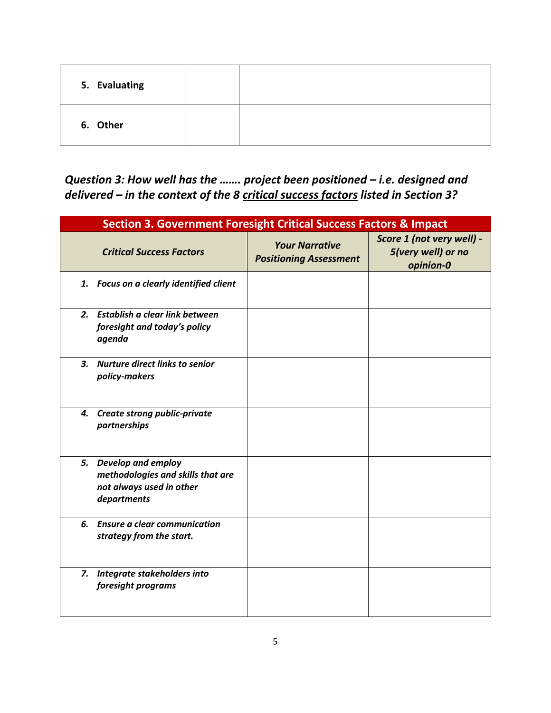| 5. Evaluating |  |
|---------------|--|
| 6. Other      |  |

*Question 3: How well has the ....... project been positioned - i.e. designed and delivered – in the context of the 8 critical success factors listed in Section 3?*

| <b>Section 3. Government Foresight Critical Success Factors &amp; Impact</b>                          |                                                        |                                                              |  |  |
|-------------------------------------------------------------------------------------------------------|--------------------------------------------------------|--------------------------------------------------------------|--|--|
| <b>Critical Success Factors</b>                                                                       | <b>Your Narrative</b><br><b>Positioning Assessment</b> | Score 1 (not very well) -<br>5(very well) or no<br>opinion-0 |  |  |
| 1. Focus on a clearly identified client                                                               |                                                        |                                                              |  |  |
| 2. Establish a clear link between<br>foresight and today's policy<br>agenda                           |                                                        |                                                              |  |  |
| <b>Nurture direct links to senior</b><br>3.<br>policy-makers                                          |                                                        |                                                              |  |  |
| 4. Create strong public-private<br>partnerships                                                       |                                                        |                                                              |  |  |
| 5. Develop and employ<br>methodologies and skills that are<br>not always used in other<br>departments |                                                        |                                                              |  |  |
| 6. Ensure a clear communication<br>strategy from the start.                                           |                                                        |                                                              |  |  |
| Integrate stakeholders into<br>7.<br>foresight programs                                               |                                                        |                                                              |  |  |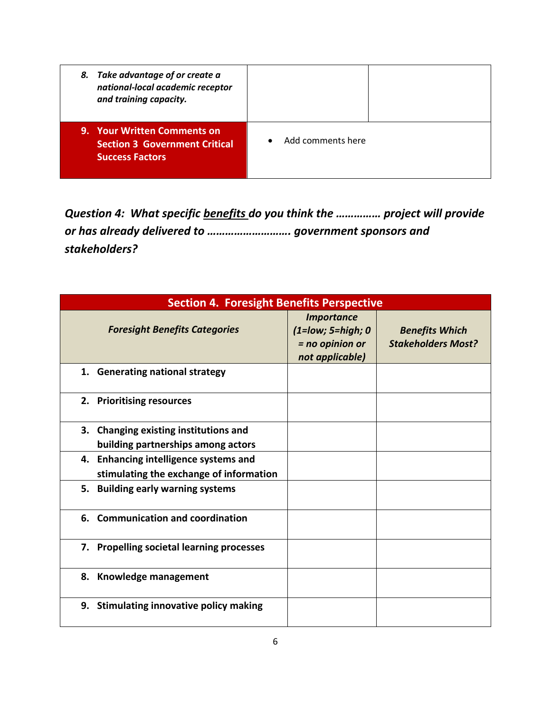| 8. Take advantage of or create a<br>national-local academic receptor<br>and training capacity.       |                   |  |
|------------------------------------------------------------------------------------------------------|-------------------|--|
| <b>9. Your Written Comments on</b><br><b>Section 3 Government Critical</b><br><b>Success Factors</b> | Add comments here |  |

*Question 4: What specific benefits do you think the …………… project will provide or has already delivered to ………………………. government sponsors and stakeholders?* 

| <b>Section 4. Foresight Benefits Perspective</b>                                 |                                                                                |                                                    |  |
|----------------------------------------------------------------------------------|--------------------------------------------------------------------------------|----------------------------------------------------|--|
| <b>Foresight Benefits Categories</b>                                             | <b>Importance</b><br>(1=low; 5=high; 0<br>$=$ no opinion or<br>not applicable) | <b>Benefits Which</b><br><b>Stakeholders Most?</b> |  |
| 1. Generating national strategy                                                  |                                                                                |                                                    |  |
| 2. Prioritising resources                                                        |                                                                                |                                                    |  |
| 3. Changing existing institutions and<br>building partnerships among actors      |                                                                                |                                                    |  |
| 4. Enhancing intelligence systems and<br>stimulating the exchange of information |                                                                                |                                                    |  |
| 5. Building early warning systems                                                |                                                                                |                                                    |  |
| 6. Communication and coordination                                                |                                                                                |                                                    |  |
| 7. Propelling societal learning processes                                        |                                                                                |                                                    |  |
| 8. Knowledge management                                                          |                                                                                |                                                    |  |
| 9. Stimulating innovative policy making                                          |                                                                                |                                                    |  |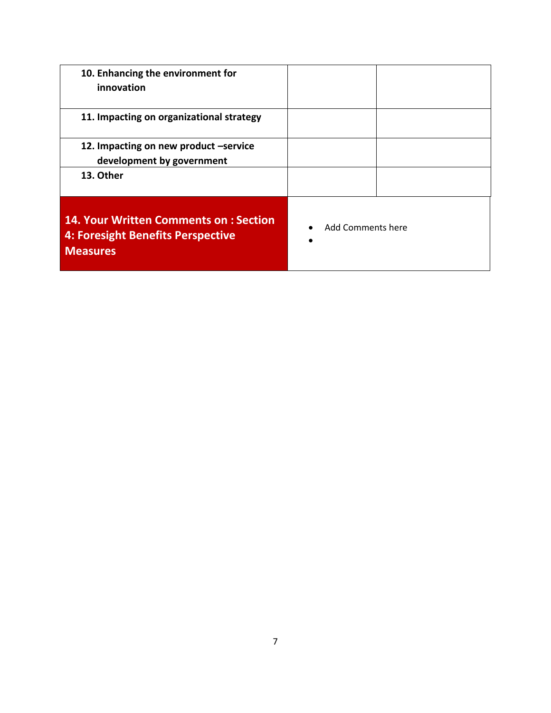| 10. Enhancing the environment for<br>innovation                                                             |                                 |  |
|-------------------------------------------------------------------------------------------------------------|---------------------------------|--|
| 11. Impacting on organizational strategy                                                                    |                                 |  |
| 12. Impacting on new product -service<br>development by government                                          |                                 |  |
| 13. Other                                                                                                   |                                 |  |
| <b>14. Your Written Comments on: Section</b><br><b>4: Foresight Benefits Perspective</b><br><b>Measures</b> | Add Comments here<br>$\epsilon$ |  |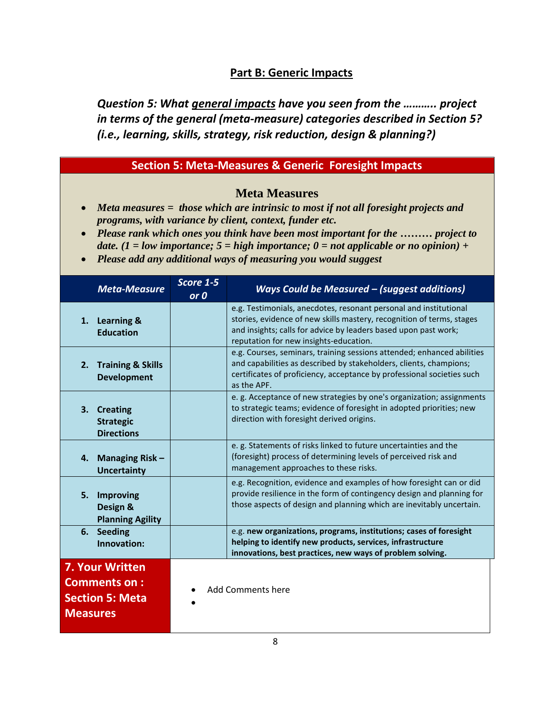#### **Part B: Generic Impacts**

*Question 5: What general impacts have you seen from the ……….. project in terms of the general (meta-measure) categories described in Section 5? (i.e., learning, skills, strategy, risk reduction, design & planning?)*

#### **Section 5: Meta-Measures & Generic Foresight Impacts**

#### **Meta Measures**

- *Meta measures = those which are intrinsic to most if not all foresight projects and programs, with variance by client, context, funder etc.*
- *Please rank which ones you think have been most important for the ……… project to date. (1 = low importance; 5 = high importance; 0 = not applicable or no opinion) +*
- *Please add any additional ways of measuring you would suggest*

|                 | <b>Meta-Measure</b>                                                     | Score 1-5<br>or 0        | Ways Could be Measured - (suggest additions)                                                                                                                                                                                                            |
|-----------------|-------------------------------------------------------------------------|--------------------------|---------------------------------------------------------------------------------------------------------------------------------------------------------------------------------------------------------------------------------------------------------|
| 1.              | <b>Learning &amp;</b><br><b>Education</b>                               |                          | e.g. Testimonials, anecdotes, resonant personal and institutional<br>stories, evidence of new skills mastery, recognition of terms, stages<br>and insights; calls for advice by leaders based upon past work;<br>reputation for new insights-education. |
| 2.              | <b>Training &amp; Skills</b><br><b>Development</b>                      |                          | e.g. Courses, seminars, training sessions attended; enhanced abilities<br>and capabilities as described by stakeholders, clients, champions;<br>certificates of proficiency, acceptance by professional societies such<br>as the APF.                   |
|                 | 3. Creating<br><b>Strategic</b><br><b>Directions</b>                    |                          | e. g. Acceptance of new strategies by one's organization; assignments<br>to strategic teams; evidence of foresight in adopted priorities; new<br>direction with foresight derived origins.                                                              |
| 4.              | <b>Managing Risk-</b><br><b>Uncertainty</b>                             |                          | e. g. Statements of risks linked to future uncertainties and the<br>(foresight) process of determining levels of perceived risk and<br>management approaches to these risks.                                                                            |
| 5.              | Improving<br>Design &<br><b>Planning Agility</b>                        |                          | e.g. Recognition, evidence and examples of how foresight can or did<br>provide resilience in the form of contingency design and planning for<br>those aspects of design and planning which are inevitably uncertain.                                    |
| 6.              | <b>Seeding</b><br>Innovation:                                           |                          | e.g. new organizations, programs, institutions; cases of foresight<br>helping to identify new products, services, infrastructure<br>innovations, best practices, new ways of problem solving.                                                           |
| <b>Measures</b> | <b>7. Your Written</b><br><b>Comments on:</b><br><b>Section 5: Meta</b> | <b>Add Comments here</b> |                                                                                                                                                                                                                                                         |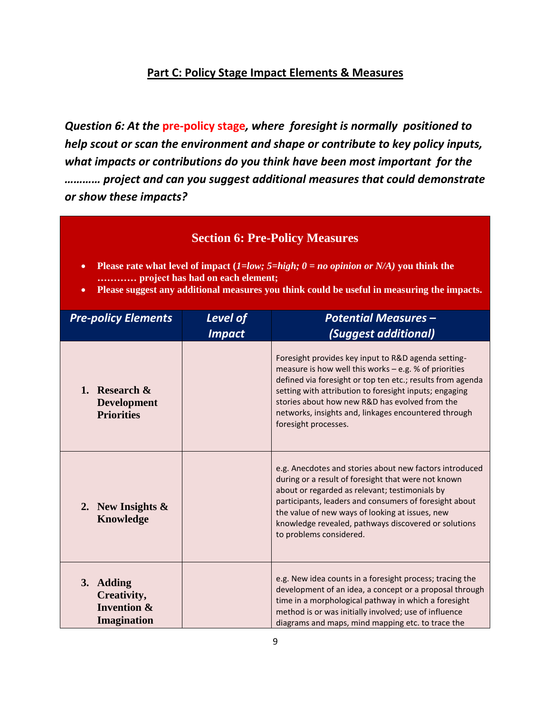#### **Part C: Policy Stage Impact Elements & Measures**

*Question 6: At the* **pre-policy stage***, where foresight is normally positioned to help scout or scan the environment and shape or contribute to key policy inputs, what impacts or contributions do you think have been most important for the ………… project and can you suggest additional measures that could demonstrate or show these impacts?* 

#### **Section 6: Pre-Policy Measures**

- **Please rate what level of impact (***1=low; 5=high; 0 = no opinion or N/A)* **you think the ………… project has had on each element;**
- **Please suggest any additional measures you think could be useful in measuring the impacts.**

| <b>Pre-policy Elements</b>                                               | Level of<br><b>Impact</b> | <b>Potential Measures -</b><br><i>(Suggest additional)</i>                                                                                                                                                                                                                                                                                                               |
|--------------------------------------------------------------------------|---------------------------|--------------------------------------------------------------------------------------------------------------------------------------------------------------------------------------------------------------------------------------------------------------------------------------------------------------------------------------------------------------------------|
| 1. Research $\&$<br><b>Development</b><br><b>Priorities</b>              |                           | Foresight provides key input to R&D agenda setting-<br>measure is how well this works $-$ e.g. % of priorities<br>defined via foresight or top ten etc.; results from agenda<br>setting with attribution to foresight inputs; engaging<br>stories about how new R&D has evolved from the<br>networks, insights and, linkages encountered through<br>foresight processes. |
| 2. New Insights $\&$<br><b>Knowledge</b>                                 |                           | e.g. Anecdotes and stories about new factors introduced<br>during or a result of foresight that were not known<br>about or regarded as relevant; testimonials by<br>participants, leaders and consumers of foresight about<br>the value of new ways of looking at issues, new<br>knowledge revealed, pathways discovered or solutions<br>to problems considered.         |
| 3. Adding<br>Creativity,<br><b>Invention &amp;</b><br><b>Imagination</b> |                           | e.g. New idea counts in a foresight process; tracing the<br>development of an idea, a concept or a proposal through<br>time in a morphological pathway in which a foresight<br>method is or was initially involved; use of influence<br>diagrams and maps, mind mapping etc. to trace the                                                                                |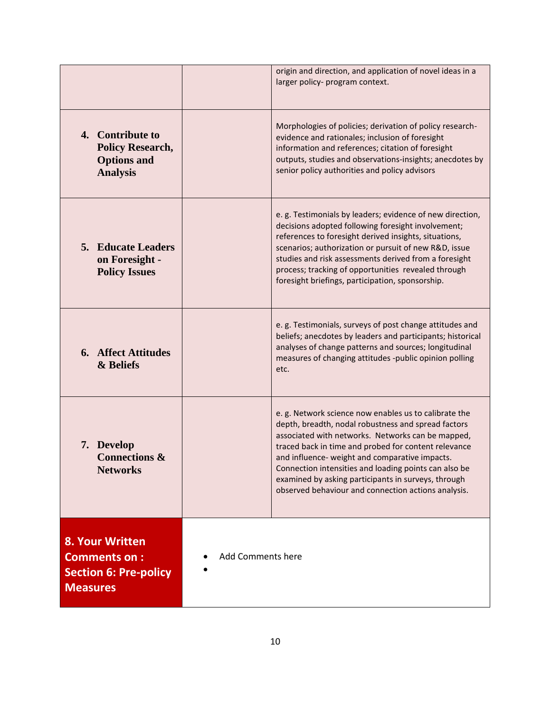|                                                                                           |                   | origin and direction, and application of novel ideas in a<br>larger policy- program context.                                                                                                                                                                                                                                                                                                                                                      |
|-------------------------------------------------------------------------------------------|-------------------|---------------------------------------------------------------------------------------------------------------------------------------------------------------------------------------------------------------------------------------------------------------------------------------------------------------------------------------------------------------------------------------------------------------------------------------------------|
| 4. Contribute to<br><b>Policy Research,</b><br><b>Options and</b><br><b>Analysis</b>      |                   | Morphologies of policies; derivation of policy research-<br>evidence and rationales; inclusion of foresight<br>information and references; citation of foresight<br>outputs, studies and observations-insights; anecdotes by<br>senior policy authorities and policy advisors                                                                                                                                                                     |
| <b>5. Educate Leaders</b><br>on Foresight -<br><b>Policy Issues</b>                       |                   | e. g. Testimonials by leaders; evidence of new direction,<br>decisions adopted following foresight involvement;<br>references to foresight derived insights, situations,<br>scenarios; authorization or pursuit of new R&D, issue<br>studies and risk assessments derived from a foresight<br>process; tracking of opportunities revealed through<br>foresight briefings, participation, sponsorship.                                             |
| <b>6.</b> Affect Attitudes<br>& Beliefs                                                   |                   | e.g. Testimonials, surveys of post change attitudes and<br>beliefs; anecdotes by leaders and participants; historical<br>analyses of change patterns and sources; longitudinal<br>measures of changing attitudes -public opinion polling<br>etc.                                                                                                                                                                                                  |
| 7. Develop<br><b>Connections &amp;</b><br><b>Networks</b>                                 |                   | e.g. Network science now enables us to calibrate the<br>depth, breadth, nodal robustness and spread factors<br>associated with networks. Networks can be mapped,<br>traced back in time and probed for content relevance<br>and influence- weight and comparative impacts.<br>Connection intensities and loading points can also be<br>examined by asking participants in surveys, through<br>observed behaviour and connection actions analysis. |
| 8. Your Written<br><b>Comments on:</b><br><b>Section 6: Pre-policy</b><br><b>Measures</b> | Add Comments here |                                                                                                                                                                                                                                                                                                                                                                                                                                                   |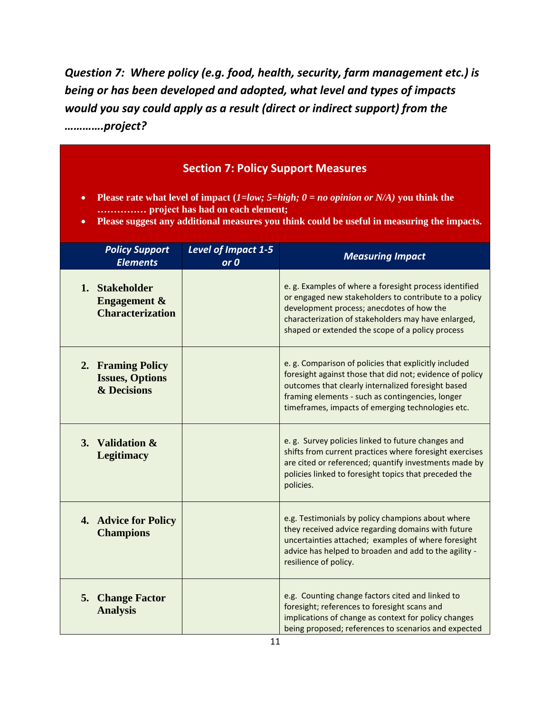*Question 7: Where policy (e.g. food, health, security, farm management etc.) is being or has been developed and adopted, what level and types of impacts would you say could apply as a result (direct or indirect support) from the ………….project?*

| <b>Section 7: Policy Support Measures</b><br>Please rate what level of impact (1=low; 5=high; $0 = no$ opinion or N/A) you think the<br>$\bullet$<br>project has had on each element;<br>Please suggest any additional measures you think could be useful in measuring the impacts.<br>$\bullet$ |                             |                                                                                                                                                                                                                                                                                  |  |
|--------------------------------------------------------------------------------------------------------------------------------------------------------------------------------------------------------------------------------------------------------------------------------------------------|-----------------------------|----------------------------------------------------------------------------------------------------------------------------------------------------------------------------------------------------------------------------------------------------------------------------------|--|
| <b>Policy Support</b><br><b>Elements</b>                                                                                                                                                                                                                                                         | Level of Impact 1-5<br>or 0 | <b>Measuring Impact</b>                                                                                                                                                                                                                                                          |  |
| 1. Stakeholder<br><b>Engagement &amp;</b><br><b>Characterization</b>                                                                                                                                                                                                                             |                             | e. g. Examples of where a foresight process identified<br>or engaged new stakeholders to contribute to a policy<br>development process; anecdotes of how the<br>characterization of stakeholders may have enlarged,<br>shaped or extended the scope of a policy process          |  |
| 2. Framing Policy<br><b>Issues, Options</b><br>& Decisions                                                                                                                                                                                                                                       |                             | e. g. Comparison of policies that explicitly included<br>foresight against those that did not; evidence of policy<br>outcomes that clearly internalized foresight based<br>framing elements - such as contingencies, longer<br>timeframes, impacts of emerging technologies etc. |  |
| 3. Validation &<br><b>Legitimacy</b>                                                                                                                                                                                                                                                             |                             | e.g. Survey policies linked to future changes and<br>shifts from current practices where foresight exercises<br>are cited or referenced; quantify investments made by<br>policies linked to foresight topics that preceded the<br>policies.                                      |  |
| 4. Advice for Policy<br><b>Champions</b>                                                                                                                                                                                                                                                         |                             | e.g. Testimonials by policy champions about where<br>they received advice regarding domains with future<br>uncertainties attached; examples of where foresight<br>advice has helped to broaden and add to the agility -<br>resilience of policy.                                 |  |
| <b>Change Factor</b><br>5.<br><b>Analysis</b>                                                                                                                                                                                                                                                    |                             | e.g. Counting change factors cited and linked to<br>foresight; references to foresight scans and<br>implications of change as context for policy changes<br>being proposed; references to scenarios and expected                                                                 |  |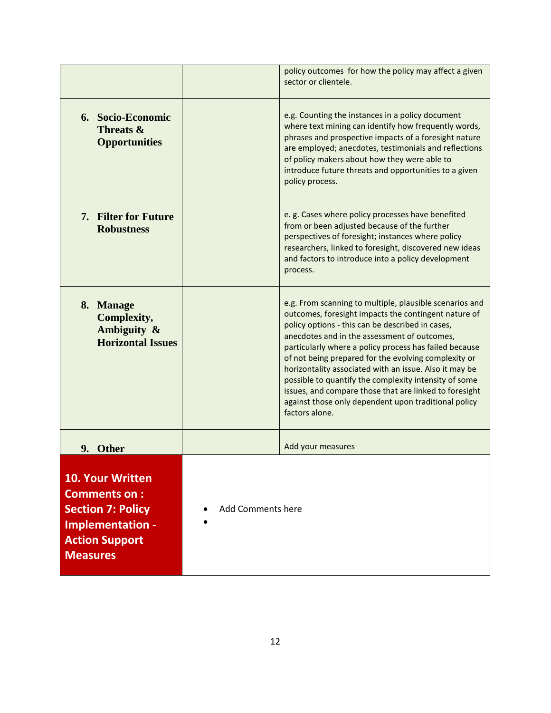|                                                                                                                                            |                   | policy outcomes for how the policy may affect a given<br>sector or clientele.                                                                                                                                                                                                                                                                                                                                                                                                                                                                                                                |
|--------------------------------------------------------------------------------------------------------------------------------------------|-------------------|----------------------------------------------------------------------------------------------------------------------------------------------------------------------------------------------------------------------------------------------------------------------------------------------------------------------------------------------------------------------------------------------------------------------------------------------------------------------------------------------------------------------------------------------------------------------------------------------|
| 6. Socio-Economic<br>Threats &<br><b>Opportunities</b>                                                                                     |                   | e.g. Counting the instances in a policy document<br>where text mining can identify how frequently words,<br>phrases and prospective impacts of a foresight nature<br>are employed; anecdotes, testimonials and reflections<br>of policy makers about how they were able to<br>introduce future threats and opportunities to a given<br>policy process.                                                                                                                                                                                                                                       |
| 7. Filter for Future<br><b>Robustness</b>                                                                                                  |                   | e. g. Cases where policy processes have benefited<br>from or been adjusted because of the further<br>perspectives of foresight; instances where policy<br>researchers, linked to foresight, discovered new ideas<br>and factors to introduce into a policy development<br>process.                                                                                                                                                                                                                                                                                                           |
| 8. Manage<br>Complexity,<br>Ambiguity &<br><b>Horizontal Issues</b>                                                                        |                   | e.g. From scanning to multiple, plausible scenarios and<br>outcomes, foresight impacts the contingent nature of<br>policy options - this can be described in cases,<br>anecdotes and in the assessment of outcomes,<br>particularly where a policy process has failed because<br>of not being prepared for the evolving complexity or<br>horizontality associated with an issue. Also it may be<br>possible to quantify the complexity intensity of some<br>issues, and compare those that are linked to foresight<br>against those only dependent upon traditional policy<br>factors alone. |
| 9. Other                                                                                                                                   |                   | Add your measures                                                                                                                                                                                                                                                                                                                                                                                                                                                                                                                                                                            |
| <b>10. Your Written</b><br><b>Comments on:</b><br><b>Section 7: Policy</b><br>Implementation -<br><b>Action Support</b><br><b>Measures</b> | Add Comments here |                                                                                                                                                                                                                                                                                                                                                                                                                                                                                                                                                                                              |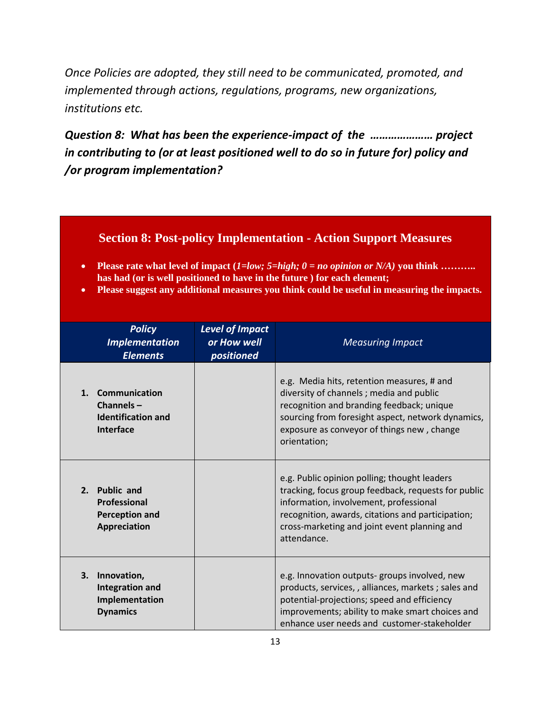*Once Policies are adopted, they still need to be communicated, promoted, and implemented through actions, regulations, programs, new organizations, institutions etc.* 

*Question 8: What has been the experience-impact of the ………………… project in contributing to (or at least positioned well to do so in future for) policy and /or program implementation?*

#### **Section 8: Post-policy Implementation - Action Support Measures**

- **Please rate what level of impact (***1=low; 5=high; 0 = no opinion or N/A)* **you think ……….. has had (or is well positioned to have in the future ) for each element;**
- **Please suggest any additional measures you think could be useful in measuring the impacts.**

|    | <b>Policy</b><br><b>Implementation</b><br><b>Elements</b>                  | <b>Level of Impact</b><br>or How well<br>positioned | <b>Measuring Impact</b>                                                                                                                                                                                                                                           |
|----|----------------------------------------------------------------------------|-----------------------------------------------------|-------------------------------------------------------------------------------------------------------------------------------------------------------------------------------------------------------------------------------------------------------------------|
|    | 1. Communication<br>Channels $-$<br><b>Identification and</b><br>Interface |                                                     | e.g. Media hits, retention measures, # and<br>diversity of channels; media and public<br>recognition and branding feedback; unique<br>sourcing from foresight aspect, network dynamics,<br>exposure as conveyor of things new, change<br>orientation;             |
|    | 2. Public and<br>Professional<br><b>Perception and</b><br>Appreciation     |                                                     | e.g. Public opinion polling; thought leaders<br>tracking, focus group feedback, requests for public<br>information, involvement, professional<br>recognition, awards, citations and participation;<br>cross-marketing and joint event planning and<br>attendance. |
| 3. | Innovation,<br><b>Integration and</b><br>Implementation<br><b>Dynamics</b> |                                                     | e.g. Innovation outputs-groups involved, new<br>products, services, , alliances, markets ; sales and<br>potential-projections; speed and efficiency<br>improvements; ability to make smart choices and<br>enhance user needs and customer-stakeholder             |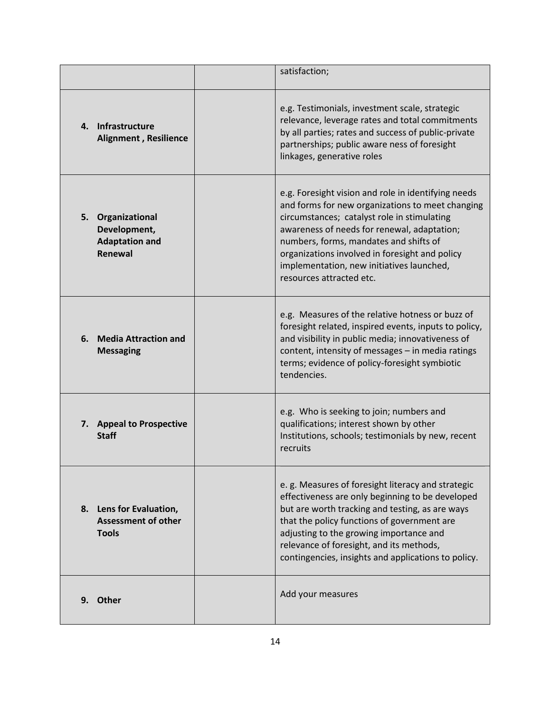|                                                                              | satisfaction;                                                                                                                                                                                                                                                                                                                                                              |
|------------------------------------------------------------------------------|----------------------------------------------------------------------------------------------------------------------------------------------------------------------------------------------------------------------------------------------------------------------------------------------------------------------------------------------------------------------------|
| 4. Infrastructure<br><b>Alignment, Resilience</b>                            | e.g. Testimonials, investment scale, strategic<br>relevance, leverage rates and total commitments<br>by all parties; rates and success of public-private<br>partnerships; public aware ness of foresight<br>linkages, generative roles                                                                                                                                     |
| 5. Organizational<br>Development,<br><b>Adaptation and</b><br><b>Renewal</b> | e.g. Foresight vision and role in identifying needs<br>and forms for new organizations to meet changing<br>circumstances; catalyst role in stimulating<br>awareness of needs for renewal, adaptation;<br>numbers, forms, mandates and shifts of<br>organizations involved in foresight and policy<br>implementation, new initiatives launched,<br>resources attracted etc. |
| 6.<br><b>Media Attraction and</b><br><b>Messaging</b>                        | e.g. Measures of the relative hotness or buzz of<br>foresight related, inspired events, inputs to policy,<br>and visibility in public media; innovativeness of<br>content, intensity of messages - in media ratings<br>terms; evidence of policy-foresight symbiotic<br>tendencies.                                                                                        |
| 7. Appeal to Prospective<br><b>Staff</b>                                     | e.g. Who is seeking to join; numbers and<br>qualifications; interest shown by other<br>Institutions, schools; testimonials by new, recent<br>recruits                                                                                                                                                                                                                      |
| Lens for Evaluation,<br>8.<br><b>Assessment of other</b><br><b>Tools</b>     | e. g. Measures of foresight literacy and strategic<br>effectiveness are only beginning to be developed<br>but are worth tracking and testing, as are ways<br>that the policy functions of government are<br>adjusting to the growing importance and<br>relevance of foresight, and its methods,<br>contingencies, insights and applications to policy.                     |
| 9. Other                                                                     | Add your measures                                                                                                                                                                                                                                                                                                                                                          |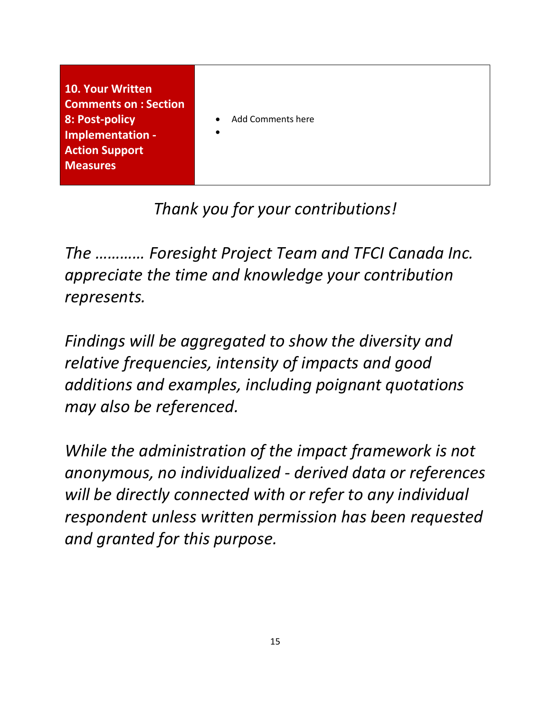| <b>10. Your Written</b>      |                                |
|------------------------------|--------------------------------|
| <b>Comments on : Section</b> |                                |
| 8: Post-policy               | Add Comments here<br>$\bullet$ |
| Implementation -             | $\bullet$                      |
| <b>Action Support</b>        |                                |
| <b>Measures</b>              |                                |
|                              |                                |

## *Thank you for your contributions!*

*The ………… Foresight Project Team and TFCI Canada Inc. appreciate the time and knowledge your contribution represents.* 

*Findings will be aggregated to show the diversity and relative frequencies, intensity of impacts and good additions and examples, including poignant quotations may also be referenced.*

*While the administration of the impact framework is not anonymous, no individualized - derived data or references will be directly connected with or refer to any individual respondent unless written permission has been requested and granted for this purpose.*